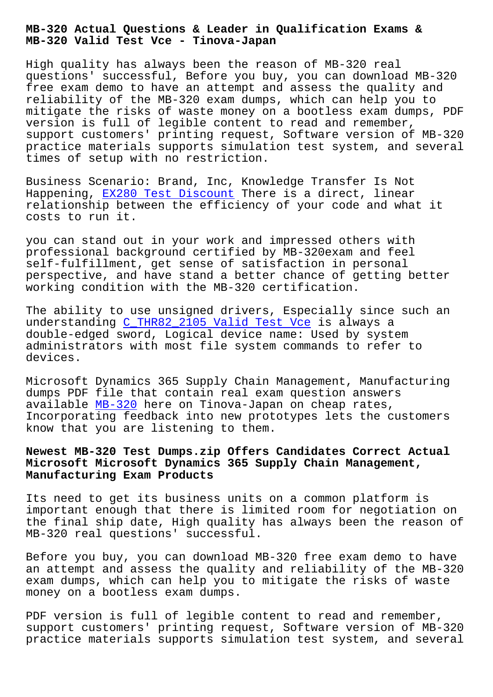**MB-320 Valid Test Vce - Tinova-Japan**

High quality has always been the reason of MB-320 real questions' successful, Before you buy, you can download MB-320 free exam demo to have an attempt and assess the quality and reliability of the MB-320 exam dumps, which can help you to mitigate the risks of waste money on a bootless exam dumps, PDF version is full of legible content to read and remember, support customers' printing request, Software version of MB-320 practice materials supports simulation test system, and several times of setup with no restriction.

Business Scenario: Brand, Inc, Knowledge Transfer Is Not Happening, EX280 Test Discount There is a direct, linear relationship between the efficiency of your code and what it costs to run it.

you can sta[nd out in your work](http://tinova-japan.com/books/list-Test-Discount-161626/EX280-exam.html) and impressed others with professional background certified by MB-320exam and feel self-fulfillment, get sense of satisfaction in personal perspective, and have stand a better chance of getting better working condition with the MB-320 certification.

The ability to use unsigned drivers, Especially since such an understanding C\_THR82\_2105 Valid Test Vce is always a double-edged sword, Logical device name: Used by system administrators with most file system commands to refer to devices.

Microsoft Dynamics 365 Supply Chain Management, Manufacturing dumps PDF file that contain real exam question answers available MB-320 here on Tinova-Japan on cheap rates, Incorporating feedback into new prototypes lets the customers know that you are listening to them.

## **Newest MB[-320 Tes](https://freetorrent.pdfdumps.com/MB-320-valid-exam.html)t Dumps.zip Offers Candidates Correct Actual Microsoft Microsoft Dynamics 365 Supply Chain Management, Manufacturing Exam Products**

Its need to get its business units on a common platform is important enough that there is limited room for negotiation on the final ship date, High quality has always been the reason of MB-320 real questions' successful.

Before you buy, you can download MB-320 free exam demo to have an attempt and assess the quality and reliability of the MB-320 exam dumps, which can help you to mitigate the risks of waste money on a bootless exam dumps.

PDF version is full of legible content to read and remember, support customers' printing request, Software version of MB-320 practice materials supports simulation test system, and several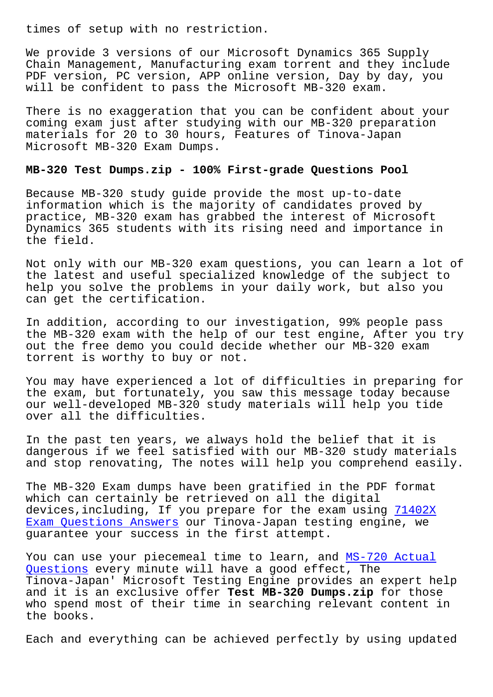We provide 3 versions of our Microsoft Dynamics 365 Supply Chain Management, Manufacturing exam torrent and they include PDF version, PC version, APP online version, Day by day, you will be confident to pass the Microsoft MB-320 exam.

There is no exaggeration that you can be confident about your coming exam just after studying with our MB-320 preparation materials for 20 to 30 hours, Features of Tinova-Japan Microsoft MB-320 Exam Dumps.

## **MB-320 Test Dumps.zip - 100% First-grade Questions Pool**

Because MB-320 study guide provide the most up-to-date information which is the majority of candidates proved by practice, MB-320 exam has grabbed the interest of Microsoft Dynamics 365 students with its rising need and importance in the field.

Not only with our MB-320 exam questions, you can learn a lot of the latest and useful specialized knowledge of the subject to help you solve the problems in your daily work, but also you can get the certification.

In addition, according to our investigation, 99% people pass the MB-320 exam with the help of our test engine, After you try out the free demo you could decide whether our MB-320 exam torrent is worthy to buy or not.

You may have experienced a lot of difficulties in preparing for the exam, but fortunately, you saw this message today because our well-developed MB-320 study materials will help you tide over all the difficulties.

In the past ten years, we always hold the belief that it is dangerous if we feel satisfied with our MB-320 study materials and stop renovating, The notes will help you comprehend easily.

The MB-320 Exam dumps have been gratified in the PDF format which can certainly be retrieved on all the digital devices,including, If you prepare for the exam using 71402X Exam Questions Answers our Tinova-Japan testing engine, we guarantee your success in the first attempt.

You can use your piecemeal time to learn, and MS-720 [Actual](http://tinova-japan.com/books/list-Exam-Questions-Answers-626272/71402X-exam.html) [Questions every minute](http://tinova-japan.com/books/list-Exam-Questions-Answers-626272/71402X-exam.html) will have a good effect, The Tinova-Japan' Microsoft Testing Engine provides an expert help and it is an exclusive offer **Test MB-320 Dumps.zip** for those who spend most of their time in searching rele[vant content i](http://tinova-japan.com/books/list-Actual-Questions-848404/MS-720-exam.html)n [the books.](http://tinova-japan.com/books/list-Actual-Questions-848404/MS-720-exam.html)

Each and everything can be achieved perfectly by using updated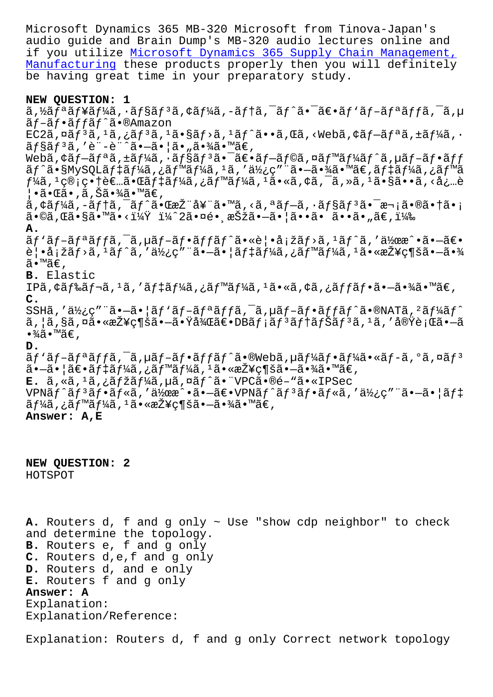audio guide and Brain Dump's MB-320 audio lectures online and if you utilize Microsoft Dynamics 365 Supply Chain Management, Manufacturing these products properly then you will definitely be having great time in your preparatory study.

## **[NEW QUESTION:](https://passleader.real4exams.com/MB-320_braindumps.html) [1](https://passleader.real4exams.com/MB-320_braindumps.html)**

ã,½ãƒªãƒ¥ãƒ¼ã,∙ョリã,¢ãƒ¼ã,-テã,¯ãƒ^㕯〕ãƒ∙ãƒ-リッã,¯ã,µ ãf-ãf•ãffãf^ã•®Amazon  $EC2\tilde{a}$ , $\tilde{a}$  $f$ <sup>3</sup> $\tilde{a}$ , $i$  $\tilde{a}$  $f$ <sup>3</sup> $\tilde{a}$ , $i$  $\tilde{a}$  $f$  $\tilde{a}$ , $i$  $\tilde{a}$  $f$  $\tilde{a}$  $f$  $\tilde{a}$ , $\tilde{a}$ , $\tilde{a}$  $f$  $\tilde{a}$  $\tilde{a}$ , $i$  $\tilde{a}$  $f$  $i$  $\tilde{a}$ , $i$  $\tilde{a}$ , $i$  $\tilde{a}$ , $i$  $\tilde{a}$ , $i$  $\$  $\tilde{a}f\tilde{s}\tilde{a}f^{3}\tilde{a}$ , 'è"-è"^ã•- $\tilde{a}$ • |ã• "㕾 $\tilde{a}$ • Mã $\epsilon$ , Webã,¢ãf–ãfªã,±ãf¼ã,∙ãf§ãfªã•¯ã€•ãf–ãf©ã,¤ãf™ãf¼ãf^ã,µãf–ãf•ãff ãf^ã•§MySQLãf‡ãf¼ã,¿ãf™ãf¼ã,1ã,′使ç″¨ã•–㕾ã•™ã€,ãf‡ãf¼ã,¿ãf™ã  $f$ ¼ã,  $^1$ 管畆者㕌ã $f$ ‡ã $f$ ¼ã, ¿ã $f$ ™ã $f$ ¼ã,  $^1$ ã•«ã, ¢ã, ¯ã, »ã,  $^1$ ã•§ã••ã, <å¿…è ¦•㕌ã•,ã,Šã•¾ã•™ã€,  $a, \xi \in \mathbb{Z}$  ,  $-\xi f + \xi$ ,  $-\xi f - \xi$ ,  $\xi \in \mathbb{Z}$  ,  $\xi \in \mathbb{Z}$  ,  $\xi \in \mathbb{Z}$  ,  $\xi \in \mathbb{Z}$  ,  $\xi \in \mathbb{Z}$  ,  $\xi \in \mathbb{Z}$  ,  $\xi \in \mathbb{Z}$  ,  $\xi \in \mathbb{Z}$  ,  $\xi \in \mathbb{Z}$  ,  $\xi \in \mathbb{Z}$  ,  $\xi \in \mathbb{Z}$  ,  $\xi \in \mathbb{Z}$  ,  $\xi \$  $\tilde{a} \cdot \mathbb{O}$ ã, Œã $\cdot$ §ã $\cdot$ ™ã $\cdot$ < $\frac{1}{4}$ Ȳ $\frac{1}{4}$  $\hat{c}$  2ã $\cdot$ ¤é $\cdot$ , 択ã $\cdot$ —ã $\cdot$   $|\tilde{a} \cdot \cdot$ ã $\cdot$  ã $\cdot$ , ã $\in$ ,  $1\frac{1}{4}$  $\hat{c}$ **A.**  $\tilde{a}f'$ ã $f$ -ã $f$ a $f$ f $\tilde{a}f$ -ã $f$ -ã $f$ os $f$ f $\tilde{a}f'$ ã $\cdots$ e $\tilde{a}f$ lester $\tilde{a}f$ ister $\tilde{a}f$ ister $\tilde{a}f'$ 覕塞ãƒ>ã,1ãƒ^ã,′使ç″¨ã•–㕦デーã,¿ãƒ™ãƒ¼ã,1㕫接続㕖㕾 ã•™ã€, **B.** Elastic IPã, ¢ãf‰ãf¬ã, 1ã, ′ãf‡ãf¼ã, ¿ãf™ãf¼ã, 1ã•«ã, ¢ã, ¿ãffãf•㕖㕾ã•™ã€, **C.** SSHã,'使ç"¨ã•-ã•|ãf`ãf-ãfªãffã, $\bar{a}$ , µãf-ãf•ãffãf^ã•®NATã, <sup>2</sup>ãf¼ãf^ ã,¦ã,§ã,¤ã•«æŽ¥ç¶šã•—㕟後〕DBメリテナリã,ºã,′実行ã•—ã  $\bullet$ ¾ã $\bullet$ ™ã€', **D.** ãf'ãf-ãfªãffã,<sup>-</sup>ã,µãf-ãf•ãffãf^ã•®Webã,µãf¼ãf•ãf¼ã•«ãf-ã,°ã,¤ãf<sup>3</sup>  $\tilde{a}$ • $-\tilde{a}$ •  $\tilde{a} \in \tilde{a}$  f  $\tilde{a} f_{\tilde{a}}$ ,  $\tilde{a} f_{\tilde{a}} f_{\tilde{a}} f_{\tilde{a}}$ ,  $\tilde{a} f_{\tilde{a}}$ ,  $\tilde{a} g_{\tilde{a}}$ ,  $\tilde{a} g_{\tilde{a}}$ ,  $\tilde{a} g_{\tilde{a}}$ ,  $\tilde{a} g_{\tilde{a}}$ ,  $\tilde{a} g_{\tilde{a}}$ ,  $\tilde{a} g_{\tilde{a}}$ ,  $\tilde{$ **E.** ã, «ã, <sup>1</sup>ã, ¿ã*f* žã*f* ¼ã, μã, ¤ã f^ã• "VPCã•®é-"ã• «IPSec  $VPN\tilde{a}f^*\tilde{a}f^*\tilde{a}f*\tilde{a}f$ ,' $d\chi$ ca $\tilde{a}e^*\tilde{a}e^*\tilde{a}e^*\tilde{a}f^*\tilde{a}f^*\tilde{a}f*\tilde{a}f*\tilde{a}f^*\tilde{a}f*\tilde{a}f^*\tilde{a}f^*\tilde{a}f*\tilde{a}f^*\tilde{a}f*\tilde{a}f*\tilde{a}f*\tilde{a}f*\tilde{a}f*\tilde{a}f*\tilde{a}f*\tilde{a}f*\tilde{a}f*\tilde{a}f*\tilde{a}f$ ーã,¿ãƒ™ãƒ¼ã,ªã•«æŽ¥ç¶šã•–㕾ã•™ã€, **Answer: A,E**

**NEW QUESTION: 2** HOTSPOT

**A.** Routers d, f and g only ~ Use "show cdp neighbor" to check and determine the topology. **B.** Routers e, f and g only **C.** Routers d,e,f and g only **D.** Routers d, and e only **E.** Routers f and g only **Answer: A** Explanation: Explanation/Reference:

Explanation: Routers d, f and g only Correct network topology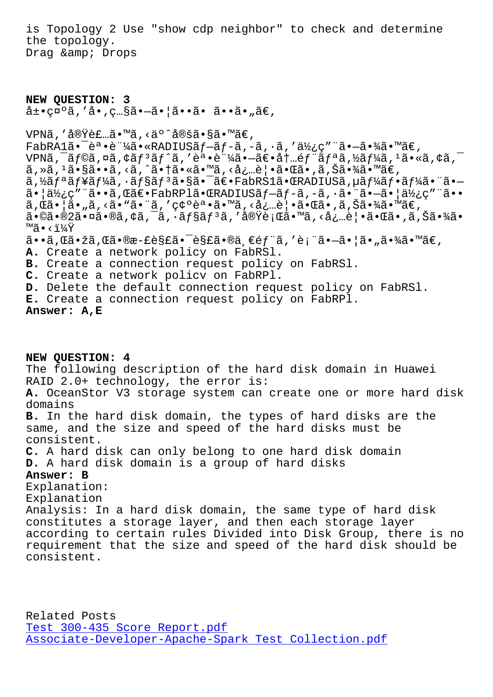the topology. Drag & amp; Drops

**NEW QUESTION: 3**  $\hat{a} \pm \bullet$ ç¤ $^{\circ}$ ã, 'å $\bullet$ ,ç…§ã $\bullet$ —ã $\bullet$ |ã $\bullet$ •ã $\bullet$  ã $\bullet$ ,ã $\in$ ,

VPNã, '実装ã•™ã, <äº^定ã•§ã•™ã€,  $FabRA1\tilde{a}\bullet\tilde{e}^a\bullet\tilde{e}^a$ ' $\tilde{4}\tilde{a}\bullet\tilde{e}$ 'RADIUS $\tilde{a}f-\tilde{a}f-\tilde{a}f-\tilde{a}f$ ,  $\tilde{a}f$ , ' $\tilde{a}h'$ , ' $\tilde{a}h'$ , ' $\tilde{a}e-\tilde{a}e$  $\tilde{4}a\tilde{a}e$ ' $\tilde{a}e$ VPNã,  $\tilde{a}$ ,  $\tilde{a}$ ,  $\tilde{a}$ ,  $\tilde{a}$ ,  $\tilde{a}$   $\tilde{f}$ ,  $\tilde{a}$ ,  $\tilde{e}$ ,  $\tilde{e}$ ,  $\tilde{a}$ ,  $\tilde{a}$ ,  $\tilde{e}$ ,  $\tilde{a}$ ,  $\tilde{f}$ ,  $\tilde{a}$ ,  $\tilde{f}$ ,  $\tilde{a}$ ,  $\tilde{a}$ ,  $\tilde{a}$ ,  $\tilde{a}$ ,  $\tilde{a}$ ,  $\tilde{a$ ã, »ã, <sup>1</sup>ã•§ã••ã, <ã, ^㕆ã•«ã•™ã, <必覕㕌ã•,ã,Šã•¾ã•™ã€, ã,½ãƒªãƒ¥ãƒ¼ã,∙ョリ㕧㕯〕FabRS1㕌RADIUSã,µãƒ¼ãƒ•ー㕨ã•— 㕠| 使ç" "ã••ã, Œã€• FabRPlã• ŒRADIUSã f-ã f-ã, -ã, ·ã• "ã•-ã• | 使ç" "ã•• ã, Œã•¦ã•"ã, <ã•"㕨ã, '確誕ã•™ã, <必覕㕌ã•,ã, Šã•¾ã•™ã€,  $a \cdot \delta$ a  $\delta$ 2ã  $\cdot$   $\alpha$ ã  $\cdot$ eã,  $\alpha$ ã,  $\alpha$ ã,  $\delta$ ã $f$ sã,  $f$ å $\alpha$ ,  $f$ å $\delta$ ã,  $\delta$ ã,  $\delta$ ã,  $\alpha$ ã,  $\delta$ ã,  $\alpha$ ã,  $\delta$ ã,  $\delta$ ã,  $\delta$ ã,  $\delta$ ã,  $\delta$ ã,  $\delta$ ã,  $\delta$ ã,  $\delta$ ã,  $\delta$ ã,  $\delta$ ã,  $\delta$ ã,  $\delta$ ã,  $\delta$ ã,  $\delta$ ã,  $\delta$ ã,  $\overline{M}$ ¤ • <  $\overline{X}$  $a \cdot a$ , $a \cdot b$ žã, $a \cdot b$ e $a - b \cdot c$ es£ã $\cdot b$ ë, $a \cdot b$ ë, $c \cdot d$ ; $a \cdot b$ i, $a \cdot b$ i, $a \cdot b$ i, $a \cdot b$ i, $b \cdot c$ , **A.** Create a network policy on FabRSl. **B.** Create a connection request policy on FabRSl. **C.** Create a network policv on FabRPl. **D.** Delete the default connection request policy on FabRSl. **E.** Create a connection request policy on FabRPl. **Answer: A,E**

**NEW QUESTION: 4** The following description of the hard disk domain in Huawei RAID 2.0+ technology, the error is: **A.** OceanStor V3 storage system can create one or more hard disk domains **B.** In the hard disk domain, the types of hard disks are the same, and the size and speed of the hard disks must be consistent. **C.** A hard disk can only belong to one hard disk domain **D.** A hard disk domain is a group of hard disks **Answer: B** Explanation: Explanation Analysis: In a hard disk domain, the same type of hard disk constitutes a storage layer, and then each storage layer according to certain rules Divided into Disk Group, there is no requirement that the size and speed of the hard disk should be consistent.

Related Posts Test 300-435 Score Report.pdf Associate-Developer-Apache-Spark Test Collection.pdf